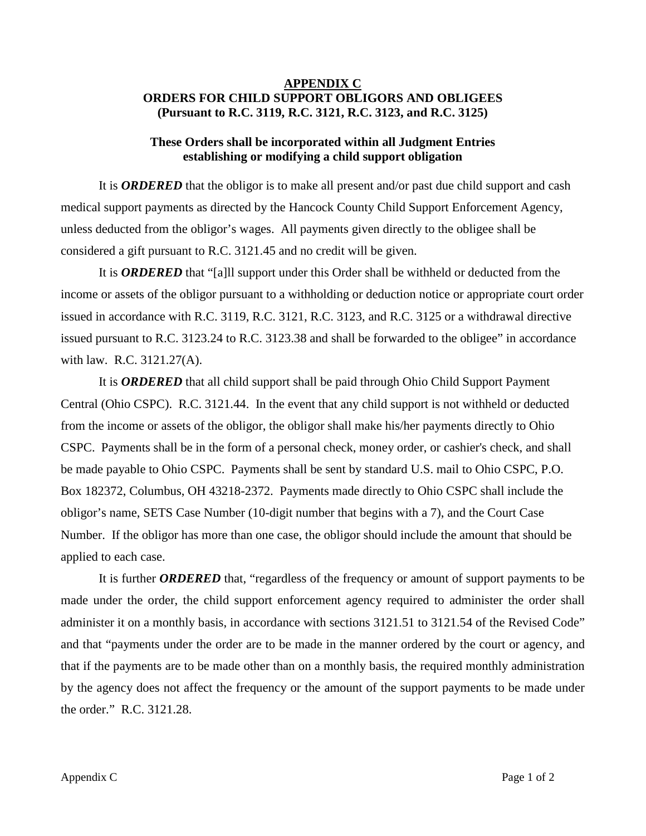## **APPENDIX C ORDERS FOR CHILD SUPPORT OBLIGORS AND OBLIGEES (Pursuant to R.C. 3119, R.C. 3121, R.C. 3123, and R.C. 3125)**

## **These Orders shall be incorporated within all Judgment Entries establishing or modifying a child support obligation**

It is *ORDERED* that the obligor is to make all present and/or past due child support and cash medical support payments as directed by the Hancock County Child Support Enforcement Agency, unless deducted from the obligor's wages. All payments given directly to the obligee shall be considered a gift pursuant to R.C. 3121.45 and no credit will be given.

It is *ORDERED* that "[a]ll support under this Order shall be withheld or deducted from the income or assets of the obligor pursuant to a withholding or deduction notice or appropriate court order issued in accordance with R.C. 3119, R.C. 3121, R.C. 3123, and R.C. 3125 or a withdrawal directive issued pursuant to R.C. 3123.24 to R.C. 3123.38 and shall be forwarded to the obligee" in accordance with law. R.C. 3121.27(A).

It is *ORDERED* that all child support shall be paid through Ohio Child Support Payment Central (Ohio CSPC). R.C. 3121.44. In the event that any child support is not withheld or deducted from the income or assets of the obligor, the obligor shall make his/her payments directly to Ohio CSPC. Payments shall be in the form of a personal check, money order, or cashier's check, and shall be made payable to Ohio CSPC. Payments shall be sent by standard U.S. mail to Ohio CSPC, P.O. Box 182372, Columbus, OH 43218-2372. Payments made directly to Ohio CSPC shall include the obligor's name, SETS Case Number (10-digit number that begins with a 7), and the Court Case Number. If the obligor has more than one case, the obligor should include the amount that should be applied to each case.

It is further *ORDERED* that, "regardless of the frequency or amount of support payments to be made under the order, the child support enforcement agency required to administer the order shall administer it on a monthly basis, in accordance with sections 3121.51 to 3121.54 of the Revised Code" and that "payments under the order are to be made in the manner ordered by the court or agency, and that if the payments are to be made other than on a monthly basis, the required monthly administration by the agency does not affect the frequency or the amount of the support payments to be made under the order." R.C. 3121.28.